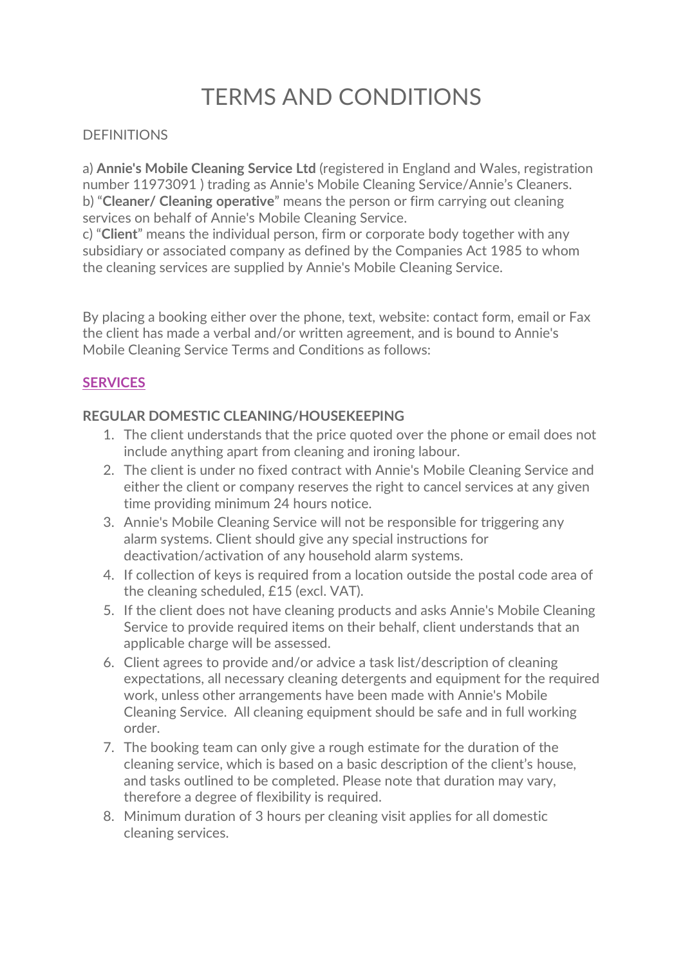# TERMS AND CONDITIONS

## **DEFINITIONS**

a) **Annie's Mobile Cleaning Service Ltd** (registered in England and Wales, registration number 11973091 ) trading as Annie's Mobile Cleaning Service/Annie's Cleaners. b) "**Cleaner/ Cleaning operative**" means the person or firm carrying out cleaning services on behalf of Annie's Mobile Cleaning Service.

c) "**Client**" means the individual person, firm or corporate body together with any subsidiary or associated company as defined by the Companies Act 1985 to whom the cleaning services are supplied by Annie's Mobile Cleaning Service.

By placing a booking either over the phone, text, website: contact form, email or Fax the client has made a verbal and/or written agreement, and is bound to Annie's Mobile Cleaning Service Terms and Conditions as follows:

# **SERVICES**

## **REGULAR DOMESTIC CLEANING/HOUSEKEEPING**

- 1. The client understands that the price quoted over the phone or email does not include anything apart from cleaning and ironing labour.
- 2. The client is under no fixed contract with Annie's Mobile Cleaning Service and either the client or company reserves the right to cancel services at any given time providing minimum 24 hours notice.
- 3. Annie's Mobile Cleaning Service will not be responsible for triggering any alarm systems. Client should give any special instructions for deactivation/activation of any household alarm systems.
- 4. If collection of keys is required from a location outside the postal code area of the cleaning scheduled, £15 (excl. VAT).
- 5. If the client does not have cleaning products and asks Annie's Mobile Cleaning Service to provide required items on their behalf, client understands that an applicable charge will be assessed.
- 6. Client agrees to provide and/or advice a task list/description of cleaning expectations, all necessary cleaning detergents and equipment for the required work, unless other arrangements have been made with Annie's Mobile Cleaning Service. All cleaning equipment should be safe and in full working order.
- 7. The booking team can only give a rough estimate for the duration of the cleaning service, which is based on a basic description of the client's house, and tasks outlined to be completed. Please note that duration may vary, therefore a degree of flexibility is required.
- 8. Minimum duration of 3 hours per cleaning visit applies for all domestic cleaning services.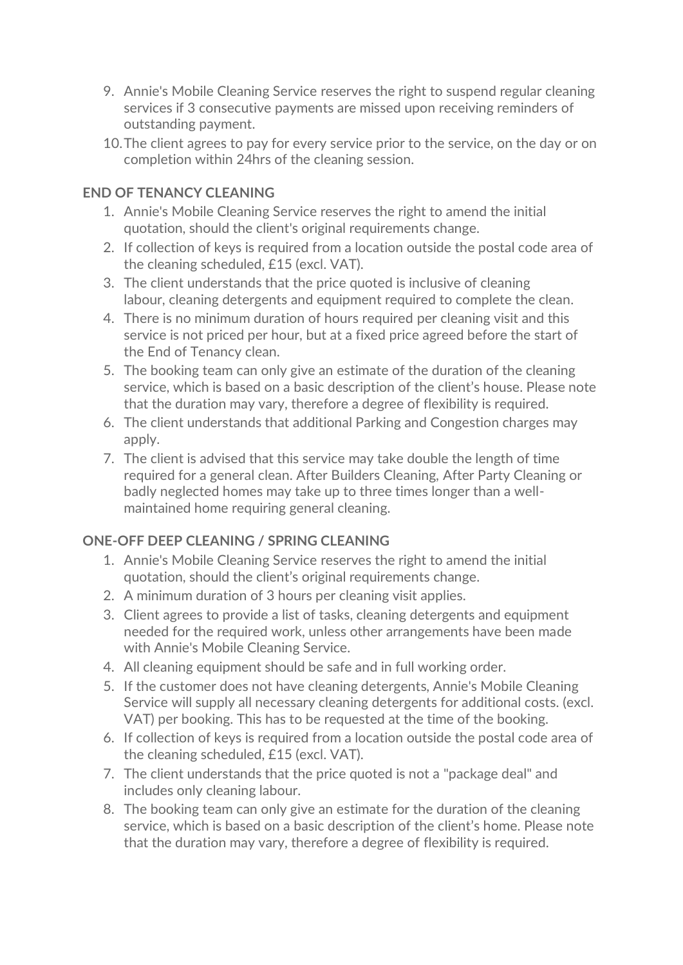- 9. Annie's Mobile Cleaning Service reserves the right to suspend regular cleaning services if 3 consecutive payments are missed upon receiving reminders of outstanding payment.
- 10.The client agrees to pay for every service prior to the service, on the day or on completion within 24hrs of the cleaning session.

# **END OF TENANCY CLEANING**

- 1. Annie's Mobile Cleaning Service reserves the right to amend the initial quotation, should the client's original requirements change.
- 2. If collection of keys is required from a location outside the postal code area of the cleaning scheduled, £15 (excl. VAT).
- 3. The client understands that the price quoted is inclusive of cleaning labour, cleaning detergents and equipment required to complete the clean.
- 4. There is no minimum duration of hours required per cleaning visit and this service is not priced per hour, but at a fixed price agreed before the start of the End of Tenancy clean.
- 5. The booking team can only give an estimate of the duration of the cleaning service, which is based on a basic description of the client's house. Please note that the duration may vary, therefore a degree of flexibility is required.
- 6. The client understands that additional Parking and Congestion charges may apply.
- 7. The client is advised that this service may take double the length of time required for a general clean. After Builders Cleaning, After Party Cleaning or badly neglected homes may take up to three times longer than a wellmaintained home requiring general cleaning.

## **ONE-OFF DEEP CLEANING / SPRING CLEANING**

- 1. Annie's Mobile Cleaning Service reserves the right to amend the initial quotation, should the client's original requirements change.
- 2. A minimum duration of 3 hours per cleaning visit applies.
- 3. Client agrees to provide a list of tasks, cleaning detergents and equipment needed for the required work, unless other arrangements have been made with Annie's Mobile Cleaning Service.
- 4. All cleaning equipment should be safe and in full working order.
- 5. If the customer does not have cleaning detergents, Annie's Mobile Cleaning Service will supply all necessary cleaning detergents for additional costs. (excl. VAT) per booking. This has to be requested at the time of the booking.
- 6. If collection of keys is required from a location outside the postal code area of the cleaning scheduled, £15 (excl. VAT).
- 7. The client understands that the price quoted is not a "package deal" and includes only cleaning labour.
- 8. The booking team can only give an estimate for the duration of the cleaning service, which is based on a basic description of the client's home. Please note that the duration may vary, therefore a degree of flexibility is required.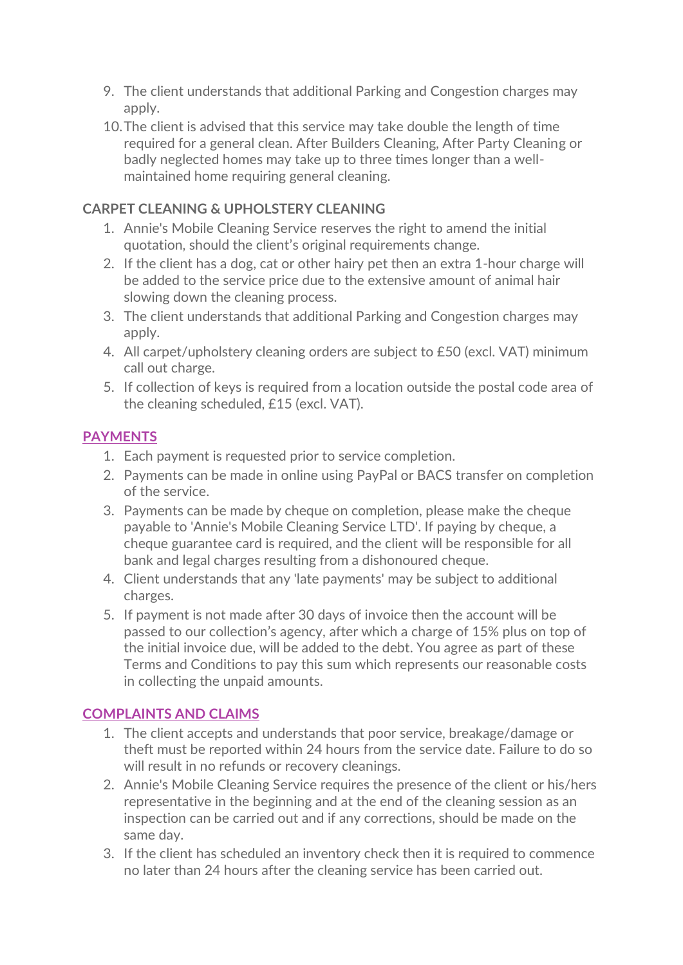- 9. The client understands that additional Parking and Congestion charges may apply.
- 10.The client is advised that this service may take double the length of time required for a general clean. After Builders Cleaning, After Party Cleaning or badly neglected homes may take up to three times longer than a wellmaintained home requiring general cleaning.

# **CARPET CLEANING & UPHOLSTERY CLEANING**

- 1. Annie's Mobile Cleaning Service reserves the right to amend the initial quotation, should the client's original requirements change.
- 2. If the client has a dog, cat or other hairy pet then an extra 1-hour charge will be added to the service price due to the extensive amount of animal hair slowing down the cleaning process.
- 3. The client understands that additional Parking and Congestion charges may apply.
- 4. All carpet/upholstery cleaning orders are subject to £50 (excl. VAT) minimum call out charge.
- 5. If collection of keys is required from a location outside the postal code area of the cleaning scheduled, £15 (excl. VAT).

# **PAYMENTS**

- 1. Each payment is requested prior to service completion.
- 2. Payments can be made in online using PayPal or BACS transfer on completion of the service.
- 3. Payments can be made by cheque on completion, please make the cheque payable to 'Annie's Mobile Cleaning Service LTD'. If paying by cheque, a cheque guarantee card is required, and the client will be responsible for all bank and legal charges resulting from a dishonoured cheque.
- 4. Client understands that any 'late payments' may be subject to additional charges.
- 5. If payment is not made after 30 days of invoice then the account will be passed to our collection's agency, after which a charge of 15% plus on top of the initial invoice due, will be added to the debt. You agree as part of these Terms and Conditions to pay this sum which represents our reasonable costs in collecting the unpaid amounts.

# **COMPLAINTS AND CLAIMS**

- 1. The client accepts and understands that poor service, breakage/damage or theft must be reported within 24 hours from the service date. Failure to do so will result in no refunds or recovery cleanings.
- 2. Annie's Mobile Cleaning Service requires the presence of the client or his/hers representative in the beginning and at the end of the cleaning session as an inspection can be carried out and if any corrections, should be made on the same day.
- 3. If the client has scheduled an inventory check then it is required to commence no later than 24 hours after the cleaning service has been carried out.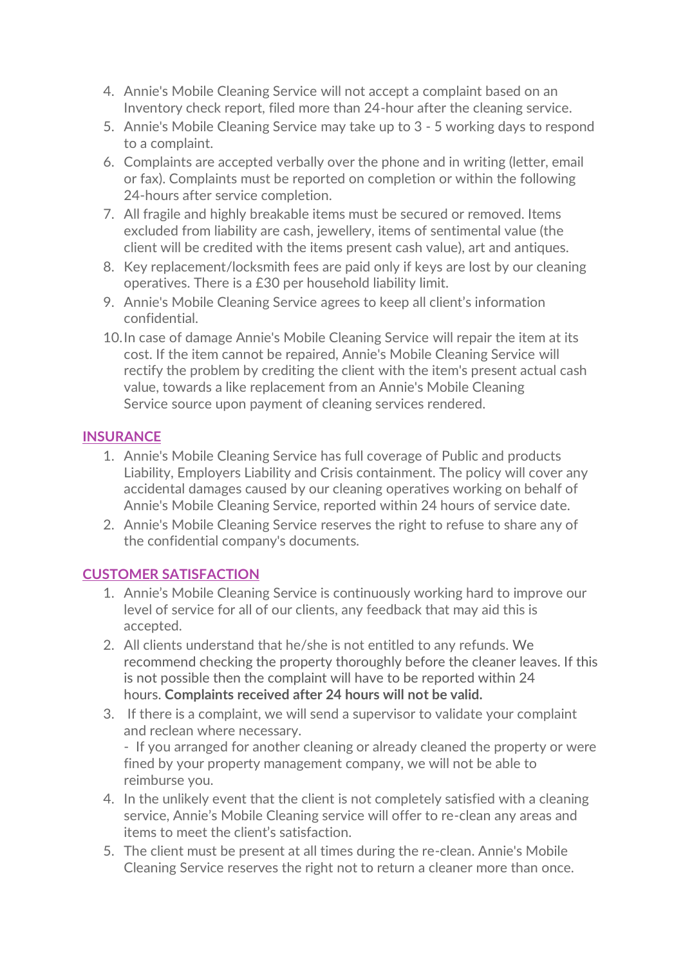- 4. Annie's Mobile Cleaning Service will not accept a complaint based on an Inventory check report, filed more than 24-hour after the cleaning service.
- 5. Annie's Mobile Cleaning Service may take up to 3 5 working days to respond to a complaint.
- 6. Complaints are accepted verbally over the phone and in writing (letter, email or fax). Complaints must be reported on completion or within the following 24-hours after service completion.
- 7. All fragile and highly breakable items must be secured or removed. Items excluded from liability are cash, jewellery, items of sentimental value (the client will be credited with the items present cash value), art and antiques.
- 8. Key replacement/locksmith fees are paid only if keys are lost by our cleaning operatives. There is a £30 per household liability limit.
- 9. Annie's Mobile Cleaning Service agrees to keep all client's information confidential.
- 10.In case of damage Annie's Mobile Cleaning Service will repair the item at its cost. If the item cannot be repaired, Annie's Mobile Cleaning Service will rectify the problem by crediting the client with the item's present actual cash value, towards a like replacement from an Annie's Mobile Cleaning Service source upon payment of cleaning services rendered.

## **INSURANCE**

- 1. Annie's Mobile Cleaning Service has full coverage of Public and products Liability, Employers Liability and Crisis containment. The policy will cover any accidental damages caused by our cleaning operatives working on behalf of Annie's Mobile Cleaning Service, reported within 24 hours of service date.
- 2. Annie's Mobile Cleaning Service reserves the right to refuse to share any of the confidential company's documents.

## **CUSTOMER SATISFACTION**

- 1. Annie's Mobile Cleaning Service is continuously working hard to improve our level of service for all of our clients, any feedback that may aid this is accepted.
- 2. All clients understand that he/she is not entitled to any refunds. We recommend checking the property thoroughly before the cleaner leaves. If this is not possible then the complaint will have to be reported within 24 hours. **Complaints received after 24 hours will not be valid.**
- 3. If there is a complaint, we will send a supervisor to validate your complaint and reclean where necessary.

- If you arranged for another cleaning or already cleaned the property or were fined by your property management company, we will not be able to reimburse you.

- 4. In the unlikely event that the client is not completely satisfied with a cleaning service, Annie's Mobile Cleaning service will offer to re-clean any areas and items to meet the client's satisfaction.
- 5. The client must be present at all times during the re-clean. Annie's Mobile Cleaning Service reserves the right not to return a cleaner more than once.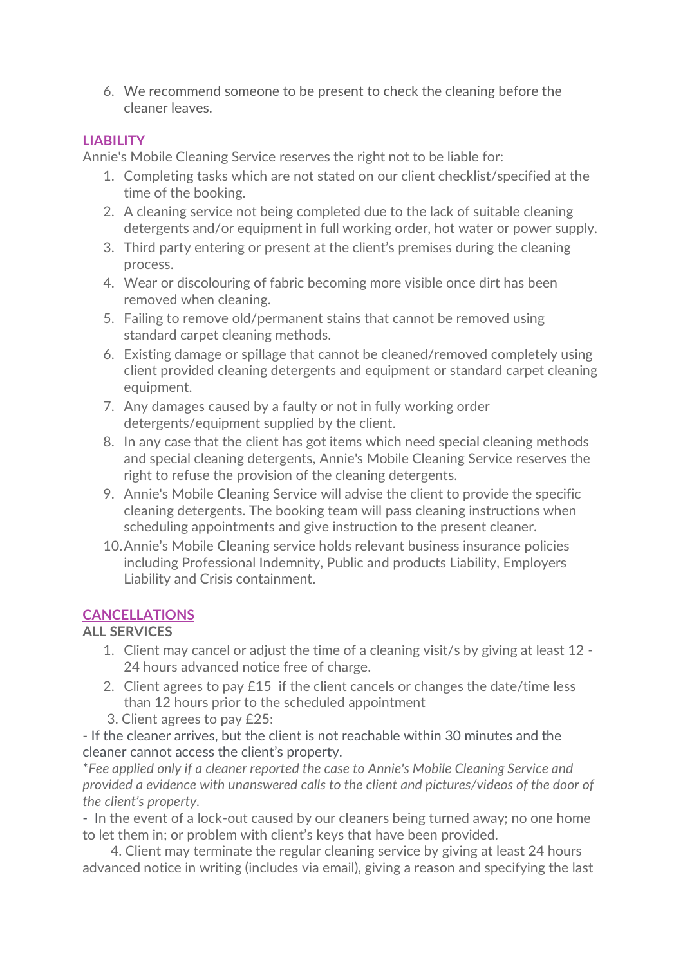6. We recommend someone to be present to check the cleaning before the cleaner leaves.

## **LIABILITY**

Annie's Mobile Cleaning Service reserves the right not to be liable for:

- 1. Completing tasks which are not stated on our client checklist/specified at the time of the booking.
- 2. A cleaning service not being completed due to the lack of suitable cleaning detergents and/or equipment in full working order, hot water or power supply.
- 3. Third party entering or present at the client's premises during the cleaning process.
- 4. Wear or discolouring of fabric becoming more visible once dirt has been removed when cleaning.
- 5. Failing to remove old/permanent stains that cannot be removed using standard carpet cleaning methods.
- 6. Existing damage or spillage that cannot be cleaned/removed completely using client provided cleaning detergents and equipment or standard carpet cleaning equipment.
- 7. Any damages caused by a faulty or not in fully working order detergents/equipment supplied by the client.
- 8. In any case that the client has got items which need special cleaning methods and special cleaning detergents, Annie's Mobile Cleaning Service reserves the right to refuse the provision of the cleaning detergents.
- 9. Annie's Mobile Cleaning Service will advise the client to provide the specific cleaning detergents. The booking team will pass cleaning instructions when scheduling appointments and give instruction to the present cleaner.
- 10.Annie's Mobile Cleaning service holds relevant business insurance policies including Professional Indemnity, Public and products Liability, Employers Liability and Crisis containment.

# **CANCELLATIONS**

## **ALL SERVICES**

- 1. Client may cancel or adjust the time of a cleaning visit/s by giving at least 12 24 hours advanced notice free of charge.
- 2. Client agrees to pay £15 if the client cancels or changes the date/time less than 12 hours prior to the scheduled appointment
- 3. Client agrees to pay £25:

- If the cleaner arrives, but the client is not reachable within 30 minutes and the cleaner cannot access the client's property.

\**Fee applied only if a cleaner reported the case to Annie's Mobile Cleaning Service and provided a evidence with unanswered calls to the client and pictures/videos of the door of the client's property.*

- In the event of a lock-out caused by our cleaners being turned away; no one home to let them in; or problem with client's keys that have been provided.

4. Client may terminate the regular cleaning service by giving at least 24 hours advanced notice in writing (includes via email), giving a reason and specifying the last